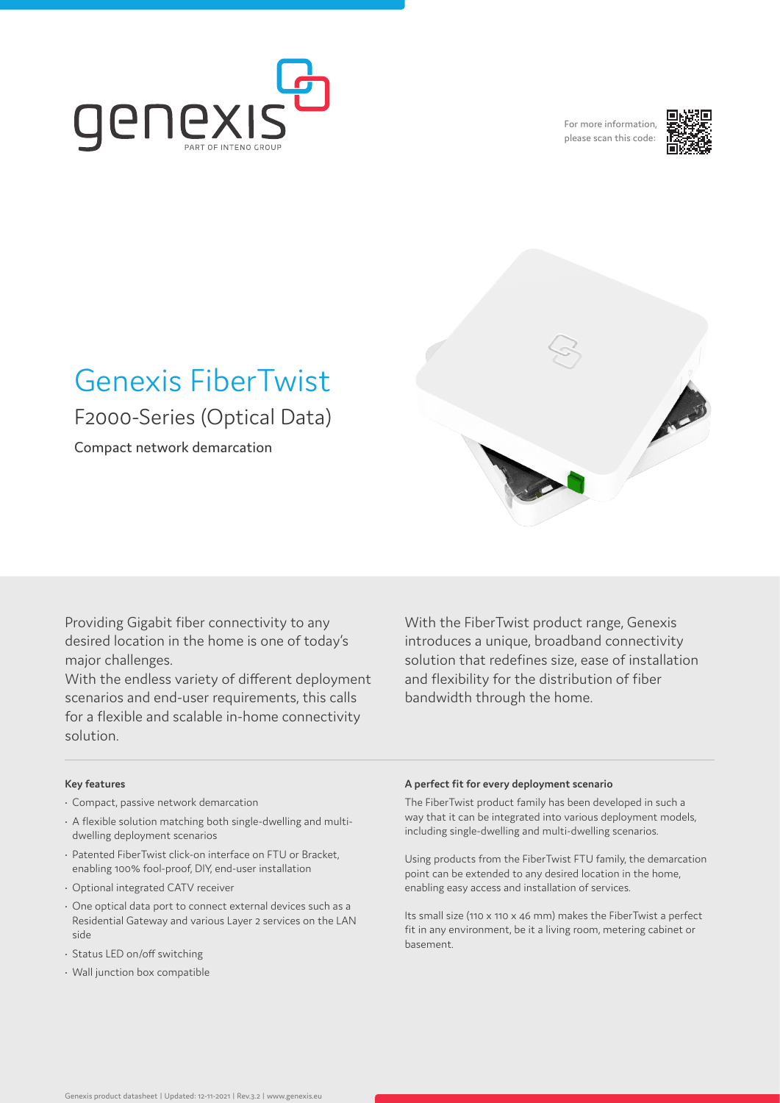

For more information, please scan this code:





# Genexis FiberTwist F2000-Series (Optical Data)

Compact network demarcation

Providing Gigabit fiber connectivity to any desired location in the home is one of today's major challenges.

With the endless variety of different deployment scenarios and end-user requirements, this calls for a flexible and scalable in-home connectivity solution.

With the FiberTwist product range, Genexis introduces a unique, broadband connectivity solution that redefines size, ease of installation and flexibility for the distribution of fiber bandwidth through the home.

#### **Key features**

- Compact, passive network demarcation
- A flexible solution matching both single-dwelling and multidwelling deployment scenarios
- Patented FiberTwist click-on interface on FTU or Bracket, enabling 100% fool-proof, DIY, end-user installation
- Optional integrated CATV receiver
- One optical data port to connect external devices such as a Residential Gateway and various Layer 2 services on the LAN side
- Status LED on/off switching
- Wall junction box compatible

#### **A perfect fit for every deployment scenario**

The FiberTwist product family has been developed in such a way that it can be integrated into various deployment models, including single-dwelling and multi-dwelling scenarios.

Using products from the FiberTwist FTU family, the demarcation point can be extended to any desired location in the home, enabling easy access and installation of services.

Its small size (110 x 110 x 46 mm) makes the FiberTwist a perfect fit in any environment, be it a living room, metering cabinet or basement.